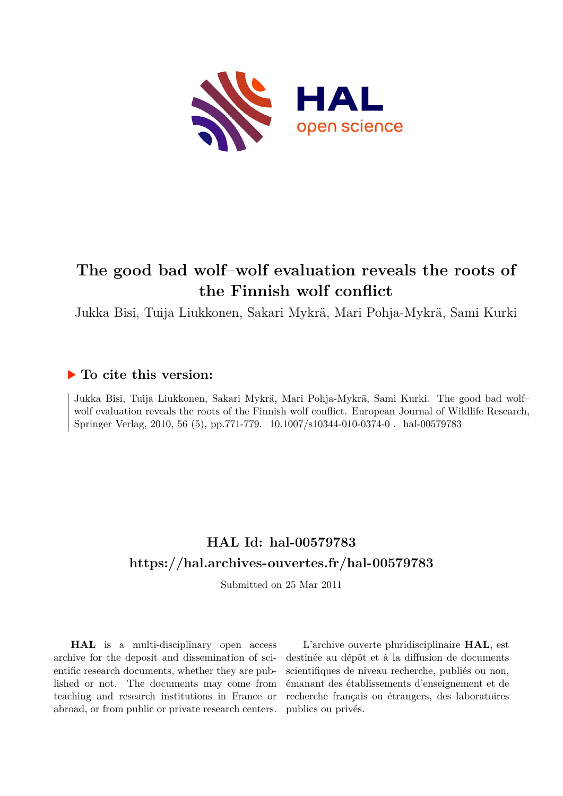

# **The good bad wolf–wolf evaluation reveals the roots of the Finnish wolf conflict**

Jukka Bisi, Tuija Liukkonen, Sakari Mykrä, Mari Pohja-Mykrä, Sami Kurki

# **To cite this version:**

Jukka Bisi, Tuija Liukkonen, Sakari Mykrä, Mari Pohja-Mykrä, Sami Kurki. The good bad wolf– wolf evaluation reveals the roots of the Finnish wolf conflict. European Journal of Wildlife Research, Springer Verlag, 2010, 56 (5), pp.771-779.  $10.1007 \text{/} \text{s}10344\text{-}010\text{-}0374\text{-}0$ . hal-00579783

# **HAL Id: hal-00579783 <https://hal.archives-ouvertes.fr/hal-00579783>**

Submitted on 25 Mar 2011

**HAL** is a multi-disciplinary open access archive for the deposit and dissemination of scientific research documents, whether they are published or not. The documents may come from teaching and research institutions in France or abroad, or from public or private research centers.

L'archive ouverte pluridisciplinaire **HAL**, est destinée au dépôt et à la diffusion de documents scientifiques de niveau recherche, publiés ou non, émanant des établissements d'enseignement et de recherche français ou étrangers, des laboratoires publics ou privés.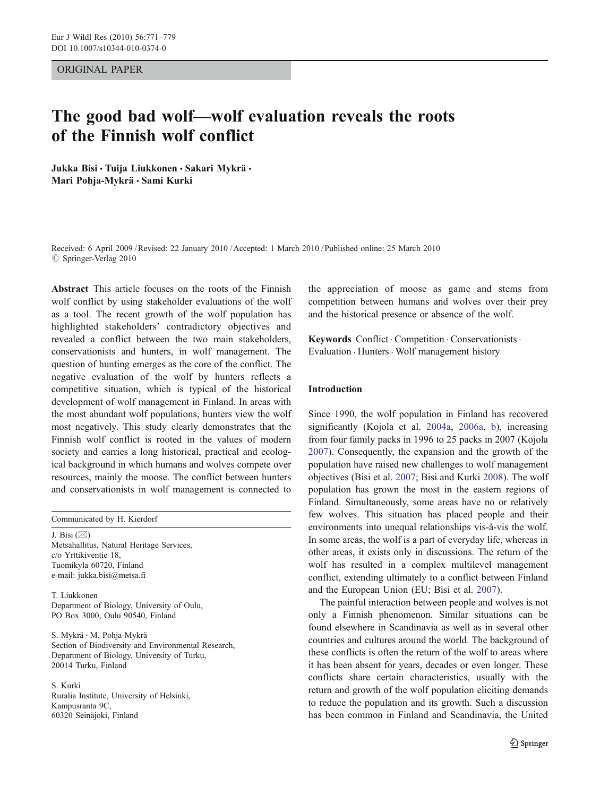#### ORIGINAL PAPER

# The good bad wolf—wolf evaluation reveals the roots of the Finnish wolf conflict

Jukka Bisi · Tuija Liukkonen · Sakari Mykrä · Mari Pohja-Mykrä · Sami Kurki

Received: 6 April 2009 /Revised: 22 January 2010 /Accepted: 1 March 2010 / Published online: 25 March 2010  $©$  Springer-Verlag 2010

Abstract This article focuses on the roots of the Finnish wolf conflict by using stakeholder evaluations of the wolf as a tool. The recent growth of the wolf population has highlighted stakeholders' contradictory objectives and revealed a conflict between the two main stakeholders, conservationists and hunters, in wolf management. The question of hunting emerges as the core of the conflict. The negative evaluation of the wolf by hunters reflects a competitive situation, which is typical of the historical development of wolf management in Finland. In areas with the most abundant wolf populations, hunters view the wolf most negatively. This study clearly demonstrates that the Finnish wolf conflict is rooted in the values of modern society and carries a long historical, practical and ecological background in which humans and wolves compete over resources, mainly the moose. The conflict between hunters and conservationists in wolf management is connected to

Communicated by H. Kierdorf

J. Bisi  $(\boxtimes)$ Metsahallitus, Natural Heritage Services, c/o Yrttikiventie 18, Tuomikyla 60720, Finland e-mail: jukka.bisi@metsa.fi

T. Liukkonen Department of Biology, University of Oulu, PO Box 3000, Oulu 90540, Finland

S. Mykrä : M. Pohja-Mykrä Section of Biodiversity and Environmental Research, Department of Biology, University of Turku, 20014 Turku, Finland

S. Kurki Ruralia Institute, University of Helsinki, Kampusranta 9C, 60320 Seinäjoki, Finland

the appreciation of moose as game and stems from competition between humans and wolves over their prey and the historical presence or absence of the wolf.

Keywords Conflict . Competition . Conservationists . Evaluation . Hunters. Wolf management history

#### Introduction

Since 1990, the wolf population in Finland has recovered significantly (Kojola et al. 2004a, 2006a, b), increasing from four family packs in 1996 to 25 packs in 2007 (Kojola 2007). Consequently, the expansion and the growth of the population have raised new challenges to wolf management objectives (Bisi et al. 2007; Bisi and Kurki 2008). The wolf population has grown the most in the eastern regions of Finland. Simultaneously, some areas have no or relatively few wolves. This situation has placed people and their environments into unequal relationships vis-à-vis the wolf. In some areas, the wolf is a part of everyday life, whereas in other areas, it exists only in discussions. The return of the wolf has resulted in a complex multilevel management conflict, extending ultimately to a conflict between Finland and the European Union (EU; Bisi et al. 2007).

The painful interaction between people and wolves is not only a Finnish phenomenon. Similar situations can be found elsewhere in Scandinavia as well as in several other countries and cultures around the world. The background of these conflicts is often the return of the wolf to areas where it has been absent for years, decades or even longer. These conflicts share certain characteristics, usually with the return and growth of the wolf population eliciting demands to reduce the population and its growth. Such a discussion has been common in Finland and Scandinavia, the United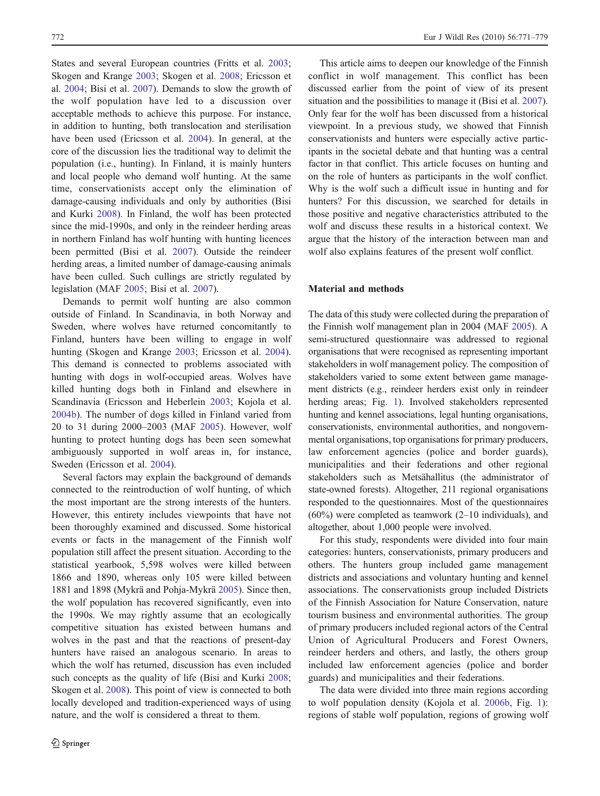States and several European countries (Fritts et al. 2003; Skogen and Krange 2003; Skogen et al. 2008; Ericsson et al. 2004; Bisi et al. 2007). Demands to slow the growth of the wolf population have led to a discussion over acceptable methods to achieve this purpose. For instance, in addition to hunting, both translocation and sterilisation have been used (Ericsson et al. 2004). In general, at the core of the discussion lies the traditional way to delimit the population (i.e., hunting). In Finland, it is mainly hunters and local people who demand wolf hunting. At the same time, conservationists accept only the elimination of damage-causing individuals and only by authorities (Bisi and Kurki 2008). In Finland, the wolf has been protected since the mid-1990s, and only in the reindeer herding areas in northern Finland has wolf hunting with hunting licences been permitted (Bisi et al. 2007). Outside the reindeer herding areas, a limited number of damage-causing animals have been culled. Such cullings are strictly regulated by legislation (MAF 2005; Bisi et al. 2007).

Demands to permit wolf hunting are also common outside of Finland. In Scandinavia, in both Norway and Sweden, where wolves have returned concomitantly to Finland, hunters have been willing to engage in wolf hunting (Skogen and Krange 2003; Ericsson et al. 2004). This demand is connected to problems associated with hunting with dogs in wolf-occupied areas. Wolves have killed hunting dogs both in Finland and elsewhere in Scandinavia (Ericsson and Heberlein 2003; Kojola et al. 2004b). The number of dogs killed in Finland varied from 20 to 31 during 2000–2003 (MAF 2005). However, wolf hunting to protect hunting dogs has been seen somewhat ambiguously supported in wolf areas in, for instance, Sweden (Ericsson et al. 2004).

Several factors may explain the background of demands connected to the reintroduction of wolf hunting, of which the most important are the strong interests of the hunters. However, this entirety includes viewpoints that have not been thoroughly examined and discussed. Some historical events or facts in the management of the Finnish wolf population still affect the present situation. According to the statistical yearbook, 5,598 wolves were killed between 1866 and 1890, whereas only 105 were killed between 1881 and 1898 (Mykrä and Pohja-Mykrä 2005). Since then, the wolf population has recovered significantly, even into the 1990s. We may rightly assume that an ecologically competitive situation has existed between humans and wolves in the past and that the reactions of present-day hunters have raised an analogous scenario. In areas to which the wolf has returned, discussion has even included such concepts as the quality of life (Bisi and Kurki 2008; Skogen et al. 2008). This point of view is connected to both locally developed and tradition-experienced ways of using nature, and the wolf is considered a threat to them.

This article aims to deepen our knowledge of the Finnish conflict in wolf management. This conflict has been discussed earlier from the point of view of its present situation and the possibilities to manage it (Bisi et al. 2007). Only fear for the wolf has been discussed from a historical viewpoint. In a previous study, we showed that Finnish conservationists and hunters were especially active participants in the societal debate and that hunting was a central factor in that conflict. This article focuses on hunting and on the role of hunters as participants in the wolf conflict. Why is the wolf such a difficult issue in hunting and for hunters? For this discussion, we searched for details in those positive and negative characteristics attributed to the wolf and discuss these results in a historical context. We argue that the history of the interaction between man and wolf also explains features of the present wolf conflict.

#### Material and methods

The data of this study were collected during the preparation of the Finnish wolf management plan in 2004 (MAF 2005). A semi-structured questionnaire was addressed to regional organisations that were recognised as representing important stakeholders in wolf management policy. The composition of stakeholders varied to some extent between game management districts (e.g., reindeer herders exist only in reindeer herding areas; Fig. 1). Involved stakeholders represented hunting and kennel associations, legal hunting organisations, conservationists, environmental authorities, and nongovernmental organisations, top organisations for primary producers, law enforcement agencies (police and border guards), municipalities and their federations and other regional stakeholders such as Metsähallitus (the administrator of state-owned forests). Altogether, 211 regional organisations responded to the questionnaires. Most of the questionnaires (60%) were completed as teamwork (2–10 individuals), and altogether, about 1,000 people were involved.

For this study, respondents were divided into four main categories: hunters, conservationists, primary producers and others. The hunters group included game management districts and associations and voluntary hunting and kennel associations. The conservationists group included Districts of the Finnish Association for Nature Conservation, nature tourism business and environmental authorities. The group of primary producers included regional actors of the Central Union of Agricultural Producers and Forest Owners, reindeer herders and others, and lastly, the others group included law enforcement agencies (police and border guards) and municipalities and their federations.

The data were divided into three main regions according to wolf population density (Kojola et al. 2006b, Fig. 1): regions of stable wolf population, regions of growing wolf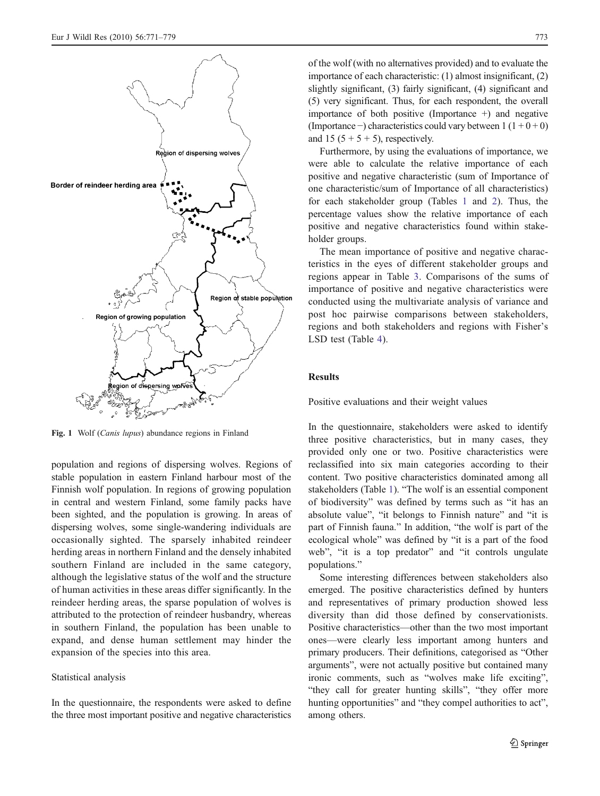

Fig. 1 Wolf (Canis lupus) abundance regions in Finland

population and regions of dispersing wolves. Regions of stable population in eastern Finland harbour most of the Finnish wolf population. In regions of growing population in central and western Finland, some family packs have been sighted, and the population is growing. In areas of dispersing wolves, some single-wandering individuals are occasionally sighted. The sparsely inhabited reindeer herding areas in northern Finland and the densely inhabited southern Finland are included in the same category, although the legislative status of the wolf and the structure of human activities in these areas differ significantly. In the reindeer herding areas, the sparse population of wolves is attributed to the protection of reindeer husbandry, whereas in southern Finland, the population has been unable to expand, and dense human settlement may hinder the expansion of the species into this area.

### Statistical analysis

In the questionnaire, the respondents were asked to define the three most important positive and negative characteristics of the wolf (with no alternatives provided) and to evaluate the importance of each characteristic: (1) almost insignificant, (2) slightly significant, (3) fairly significant, (4) significant and (5) very significant. Thus, for each respondent, the overall importance of both positive (Importance  $+$ ) and negative (Importance –) characteristics could vary between  $1(1+0+0)$ and 15  $(5 + 5 + 5)$ , respectively.

Furthermore, by using the evaluations of importance, we were able to calculate the relative importance of each positive and negative characteristic (sum of Importance of one characteristic/sum of Importance of all characteristics) for each stakeholder group (Tables 1 and 2). Thus, the percentage values show the relative importance of each positive and negative characteristics found within stakeholder groups.

The mean importance of positive and negative characteristics in the eyes of different stakeholder groups and regions appear in Table 3. Comparisons of the sums of importance of positive and negative characteristics were conducted using the multivariate analysis of variance and post hoc pairwise comparisons between stakeholders, regions and both stakeholders and regions with Fisher's LSD test (Table 4).

### Results

Positive evaluations and their weight values

In the questionnaire, stakeholders were asked to identify three positive characteristics, but in many cases, they provided only one or two. Positive characteristics were reclassified into six main categories according to their content. Two positive characteristics dominated among all stakeholders (Table 1). "The wolf is an essential component of biodiversity" was defined by terms such as "it has an absolute value", "it belongs to Finnish nature" and "it is part of Finnish fauna." In addition, "the wolf is part of the ecological whole" was defined by "it is a part of the food web", "it is a top predator" and "it controls ungulate populations."

Some interesting differences between stakeholders also emerged. The positive characteristics defined by hunters and representatives of primary production showed less diversity than did those defined by conservationists. Positive characteristics—other than the two most important ones—were clearly less important among hunters and primary producers. Their definitions, categorised as "Other arguments", were not actually positive but contained many ironic comments, such as "wolves make life exciting", "they call for greater hunting skills", "they offer more hunting opportunities" and "they compel authorities to act", among others.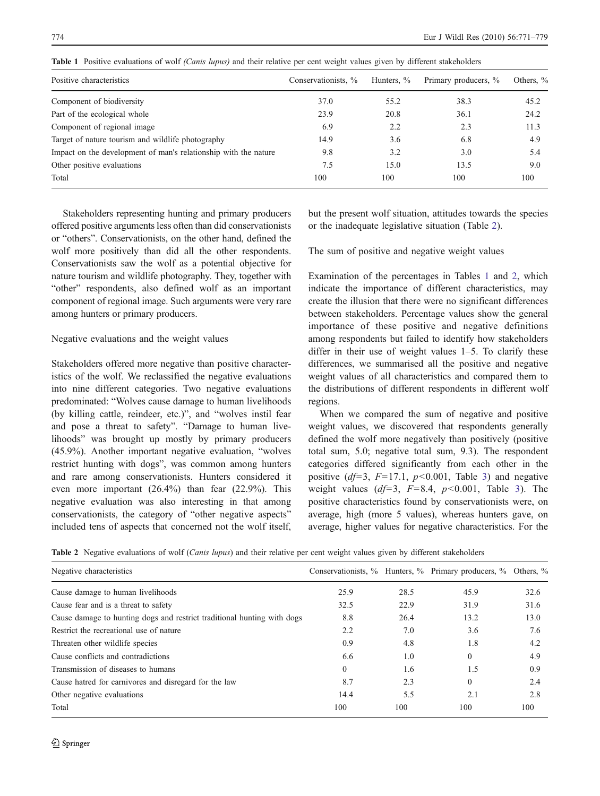| Positive characteristics                                        | Conservationists, % | Hunters, % | Primary producers, % | Others, % |
|-----------------------------------------------------------------|---------------------|------------|----------------------|-----------|
| Component of biodiversity                                       | 37.0                | 55.2       | 38.3                 | 45.2      |
| Part of the ecological whole                                    | 23.9                | 20.8       | 36.1                 | 24.2      |
| Component of regional image                                     | 6.9                 | 2.2        | 2.3                  | 11.3      |
| Target of nature tourism and wildlife photography               | 14.9                | 3.6        | 6.8                  | 4.9       |
| Impact on the development of man's relationship with the nature | 9.8                 | 3.2        | 3.0                  | 5.4       |
| Other positive evaluations                                      | 7.5                 | 15.0       | 13.5                 | 9.0       |
| Total                                                           | 100                 | 100        | 100                  | 100       |

Table 1 Positive evaluations of wolf (Canis lupus) and their relative per cent weight values given by different stakeholders

Stakeholders representing hunting and primary producers offered positive arguments less often than did conservationists or "others". Conservationists, on the other hand, defined the wolf more positively than did all the other respondents. Conservationists saw the wolf as a potential objective for nature tourism and wildlife photography. They, together with "other" respondents, also defined wolf as an important component of regional image. Such arguments were very rare among hunters or primary producers.

## Negative evaluations and the weight values

Stakeholders offered more negative than positive characteristics of the wolf. We reclassified the negative evaluations into nine different categories. Two negative evaluations predominated: "Wolves cause damage to human livelihoods (by killing cattle, reindeer, etc.)", and "wolves instil fear and pose a threat to safety". "Damage to human livelihoods" was brought up mostly by primary producers (45.9%). Another important negative evaluation, "wolves restrict hunting with dogs", was common among hunters and rare among conservationists. Hunters considered it even more important (26.4%) than fear (22.9%). This negative evaluation was also interesting in that among conservationists, the category of "other negative aspects" included tens of aspects that concerned not the wolf itself,

but the present wolf situation, attitudes towards the species or the inadequate legislative situation (Table 2).

The sum of positive and negative weight values

Examination of the percentages in Tables 1 and 2, which indicate the importance of different characteristics, may create the illusion that there were no significant differences between stakeholders. Percentage values show the general importance of these positive and negative definitions among respondents but failed to identify how stakeholders differ in their use of weight values 1–5. To clarify these differences, we summarised all the positive and negative weight values of all characteristics and compared them to the distributions of different respondents in different wolf regions.

When we compared the sum of negative and positive weight values, we discovered that respondents generally defined the wolf more negatively than positively (positive total sum, 5.0; negative total sum, 9.3). The respondent categories differed significantly from each other in the positive  $(df=3, F=17.1, p<0.001,$  Table 3) and negative weight values  $(d=3, F=8.4, p<0.001,$  Table 3). The positive characteristics found by conservationists were, on average, high (more 5 values), whereas hunters gave, on average, higher values for negative characteristics. For the

Table 2 Negative evaluations of wolf (Canis lupus) and their relative per cent weight values given by different stakeholders

| Negative characteristics                                                |              |      | Conservationists, % Hunters, % Primary producers, % Others, % |      |
|-------------------------------------------------------------------------|--------------|------|---------------------------------------------------------------|------|
| Cause damage to human livelihoods                                       | 25.9         | 28.5 | 45.9                                                          | 32.6 |
| Cause fear and is a threat to safety                                    | 32.5         | 22.9 | 31.9                                                          | 31.6 |
| Cause damage to hunting dogs and restrict traditional hunting with dogs | 8.8          | 26.4 | 13.2                                                          | 13.0 |
| Restrict the recreational use of nature                                 | 2.2          | 7.0  | 3.6                                                           | 7.6  |
| Threaten other wildlife species                                         | 0.9          | 4.8  | 1.8                                                           | 4.2  |
| Cause conflicts and contradictions                                      | 6.6          | 1.0  | $\theta$                                                      | 4.9  |
| Transmission of diseases to humans                                      | $\mathbf{0}$ | 1.6  | 1.5                                                           | 0.9  |
| Cause hatred for carnivores and disregard for the law                   | 8.7          | 2.3  | $\Omega$                                                      | 2.4  |
| Other negative evaluations                                              | 14.4         | 5.5  | 2.1                                                           | 2.8  |
| Total                                                                   | 100          | 100  | 100                                                           | 100  |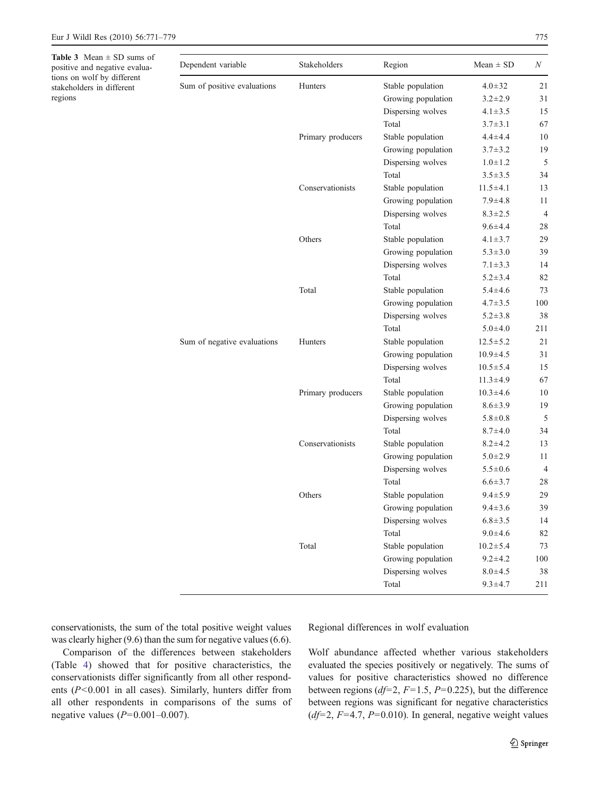**Table 3** Mean  $\pm$  SD sums of positive and negative evaluations on wolf by different stakeholders in different regions

| Dependent variable          | Stakeholders      | Region             | Mean $\pm$ SD  | N              |
|-----------------------------|-------------------|--------------------|----------------|----------------|
|                             |                   |                    |                |                |
| Sum of positive evaluations | Hunters           | Stable population  | $4.0 \pm 32$   | 21             |
|                             |                   | Growing population | $3.2 \pm 2.9$  | 31             |
|                             |                   | Dispersing wolves  | $4.1 \pm 3.5$  | 15             |
|                             |                   | Total              | $3.7 \pm 3.1$  | 67             |
|                             | Primary producers | Stable population  | $4.4 \pm 4.4$  | 10             |
|                             |                   | Growing population | $3.7 \pm 3.2$  | 19             |
|                             |                   | Dispersing wolves  | $1.0 \pm 1.2$  | 5              |
|                             |                   | Total              | $3.5 \pm 3.5$  | 34             |
|                             | Conservationists  | Stable population  | $11.5 \pm 4.1$ | 13             |
|                             |                   | Growing population | $7.9 + 4.8$    | 11             |
|                             |                   | Dispersing wolves  | $8.3 \pm 2.5$  | $\overline{4}$ |
|                             |                   | Total              | $9.6 \pm 4.4$  | 28             |
|                             | Others            | Stable population  | $4.1 \pm 3.7$  | 29             |
|                             |                   | Growing population | $5.3 \pm 3.0$  | 39             |
|                             |                   | Dispersing wolves  | $7.1 \pm 3.3$  | 14             |
|                             |                   | Total              | $5.2 \pm 3.4$  | 82             |
|                             | Total             | Stable population  | $5.4 \pm 4.6$  | 73             |
|                             |                   | Growing population | $4.7 \pm 3.5$  | 100            |
|                             |                   | Dispersing wolves  | $5.2 \pm 3.8$  | 38             |
|                             |                   | Total              | $5.0 + 4.0$    | 211            |
| Sum of negative evaluations | Hunters           | Stable population  | $12.5 \pm 5.2$ | 21             |
|                             |                   | Growing population | $10.9 \pm 4.5$ | 31             |
|                             |                   | Dispersing wolves  | $10.5 \pm 5.4$ | 15             |
|                             |                   | Total              | $11.3 \pm 4.9$ | 67             |
|                             | Primary producers | Stable population  | $10.3 \pm 4.6$ | 10             |
|                             |                   | Growing population | $8.6 \pm 3.9$  | 19             |
|                             |                   | Dispersing wolves  | $5.8 \pm 0.8$  | 5              |
|                             |                   | Total              | $8.7 + 4.0$    | 34             |

Conservationists Stable population 8.2±4.2 13

Others Stable population 9.4±5.9 29

Total Stable population 10.2 $\pm$ 5.4 73

Growing population  $5.0 \pm 2.9$  11 Dispersing wolves  $5.5\pm0.6$  4 Total 6.6±3.7 28

Growing population  $9.4 \pm 3.6$  39 Dispersing wolves  $6.8 \pm 3.5$  14 Total 9.0 $\pm 4.6$  82

Growing population  $9.2 \pm 4.2$  100 Dispersing wolves  $8.0 \pm 4.5$  38 Total 9.3 $\pm 4.7$  211

conservationists, the sum of the total positive weight values was clearly higher (9.6) than the sum for negative values (6.6).

Comparison of the differences between stakeholders (Table 4) showed that for positive characteristics, the conservationists differ significantly from all other respondents  $(P<0.001$  in all cases). Similarly, hunters differ from all other respondents in comparisons of the sums of negative values  $(P=0.001-0.007)$ .

Regional differences in wolf evaluation

Wolf abundance affected whether various stakeholders evaluated the species positively or negatively. The sums of values for positive characteristics showed no difference between regions ( $df=2$ ,  $F=1.5$ ,  $P=0.225$ ), but the difference between regions was significant for negative characteristics  $(df=2, F=4.7, P=0.010)$ . In general, negative weight values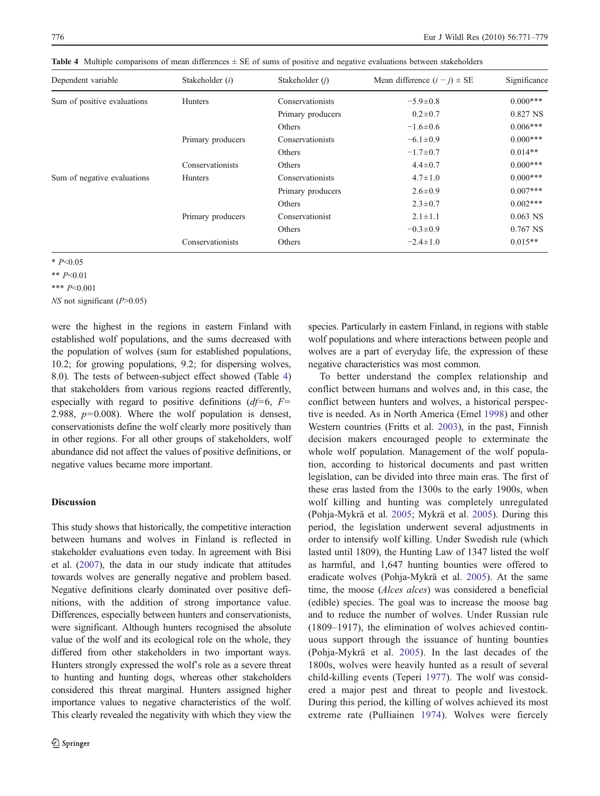| Dependent variable          | Stakeholder (i)   | Stakeholder ( <i>j</i> ) | Mean difference $(i - j) \pm SE$ | Significance |
|-----------------------------|-------------------|--------------------------|----------------------------------|--------------|
| Sum of positive evaluations | <b>Hunters</b>    | Conservationists         | $-5.9 \pm 0.8$                   | $0.000***$   |
|                             |                   | Primary producers        | $0.2 \pm 0.7$                    | 0.827 NS     |
|                             |                   | Others                   | $-1.6 \pm 0.6$                   | $0.006***$   |
|                             | Primary producers | Conservationists         | $-6.1 \pm 0.9$                   | $0.000***$   |
|                             |                   | Others                   | $-1.7 \pm 0.7$                   | $0.014**$    |
|                             | Conservationists  | Others                   | $4.4 \pm 0.7$                    | $0.000***$   |
| Sum of negative evaluations | <b>Hunters</b>    | Conservationists         | $4.7 \pm 1.0$                    | $0.000***$   |
|                             |                   | Primary producers        | $2.6 \pm 0.9$                    | $0.007***$   |
|                             |                   | Others                   | $2.3 \pm 0.7$                    | $0.002***$   |
|                             | Primary producers | Conservationist          | $2.1 \pm 1.1$                    | $0.063$ NS   |
|                             |                   | Others                   | $-0.3 \pm 0.9$                   | $0.767$ NS   |
|                             | Conservationists  | Others                   | $-2.4 \pm 1.0$                   | $0.015**$    |

Table 4 Multiple comparisons of mean differences  $\pm$  SE of sums of positive and negative evaluations between stakeholders

 $* P< 0.05$ 

\*\* P<0.01

\*\*\* P<0.001

NS not significant (P>0.05)

were the highest in the regions in eastern Finland with established wolf populations, and the sums decreased with the population of wolves (sum for established populations, 10.2; for growing populations, 9.2; for dispersing wolves, 8.0). The tests of between-subject effect showed (Table 4) that stakeholders from various regions reacted differently, especially with regard to positive definitions  $(d=6, F=$ 2.988,  $p=0.008$ ). Where the wolf population is densest, conservationists define the wolf clearly more positively than in other regions. For all other groups of stakeholders, wolf abundance did not affect the values of positive definitions, or negative values became more important.

### **Discussion**

This study shows that historically, the competitive interaction between humans and wolves in Finland is reflected in stakeholder evaluations even today. In agreement with Bisi et al. (2007), the data in our study indicate that attitudes towards wolves are generally negative and problem based. Negative definitions clearly dominated over positive definitions, with the addition of strong importance value. Differences, especially between hunters and conservationists, were significant. Although hunters recognised the absolute value of the wolf and its ecological role on the whole, they differed from other stakeholders in two important ways. Hunters strongly expressed the wolf's role as a severe threat to hunting and hunting dogs, whereas other stakeholders considered this threat marginal. Hunters assigned higher importance values to negative characteristics of the wolf. This clearly revealed the negativity with which they view the species. Particularly in eastern Finland, in regions with stable wolf populations and where interactions between people and wolves are a part of everyday life, the expression of these negative characteristics was most common.

To better understand the complex relationship and conflict between humans and wolves and, in this case, the conflict between hunters and wolves, a historical perspective is needed. As in North America (Emel 1998) and other Western countries (Fritts et al. 2003), in the past, Finnish decision makers encouraged people to exterminate the whole wolf population. Management of the wolf population, according to historical documents and past written legislation, can be divided into three main eras. The first of these eras lasted from the 1300s to the early 1900s, when wolf killing and hunting was completely unregulated (Pohja-Mykrä et al. 2005; Mykrä et al. 2005). During this period, the legislation underwent several adjustments in order to intensify wolf killing. Under Swedish rule (which lasted until 1809), the Hunting Law of 1347 listed the wolf as harmful, and 1,647 hunting bounties were offered to eradicate wolves (Pohja-Mykrä et al. 2005). At the same time, the moose (*Alces alces*) was considered a beneficial (edible) species. The goal was to increase the moose bag and to reduce the number of wolves. Under Russian rule (1809–1917), the elimination of wolves achieved continuous support through the issuance of hunting bounties (Pohja-Mykrä et al. 2005). In the last decades of the 1800s, wolves were heavily hunted as a result of several child-killing events (Teperi 1977). The wolf was considered a major pest and threat to people and livestock. During this period, the killing of wolves achieved its most extreme rate (Pulliainen 1974). Wolves were fiercely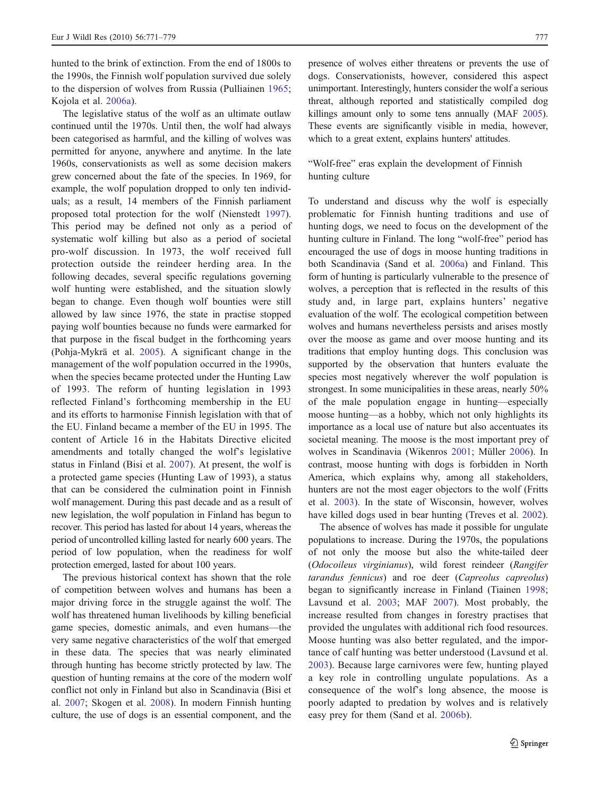hunted to the brink of extinction. From the end of 1800s to the 1990s, the Finnish wolf population survived due solely to the dispersion of wolves from Russia (Pulliainen 1965; Kojola et al. 2006a).

The legislative status of the wolf as an ultimate outlaw continued until the 1970s. Until then, the wolf had always been categorised as harmful, and the killing of wolves was permitted for anyone, anywhere and anytime. In the late 1960s, conservationists as well as some decision makers grew concerned about the fate of the species. In 1969, for example, the wolf population dropped to only ten individuals; as a result, 14 members of the Finnish parliament proposed total protection for the wolf (Nienstedt 1997). This period may be defined not only as a period of systematic wolf killing but also as a period of societal pro-wolf discussion. In 1973, the wolf received full protection outside the reindeer herding area. In the following decades, several specific regulations governing wolf hunting were established, and the situation slowly began to change. Even though wolf bounties were still allowed by law since 1976, the state in practise stopped paying wolf bounties because no funds were earmarked for that purpose in the fiscal budget in the forthcoming years (Pohja-Mykrä et al. 2005). A significant change in the management of the wolf population occurred in the 1990s, when the species became protected under the Hunting Law of 1993. The reform of hunting legislation in 1993 reflected Finland's forthcoming membership in the EU and its efforts to harmonise Finnish legislation with that of the EU. Finland became a member of the EU in 1995. The content of Article 16 in the Habitats Directive elicited amendments and totally changed the wolf's legislative status in Finland (Bisi et al. 2007). At present, the wolf is a protected game species (Hunting Law of 1993), a status that can be considered the culmination point in Finnish wolf management. During this past decade and as a result of new legislation, the wolf population in Finland has begun to recover. This period has lasted for about 14 years, whereas the period of uncontrolled killing lasted for nearly 600 years. The period of low population, when the readiness for wolf protection emerged, lasted for about 100 years.

The previous historical context has shown that the role of competition between wolves and humans has been a major driving force in the struggle against the wolf. The wolf has threatened human livelihoods by killing beneficial game species, domestic animals, and even humans—the very same negative characteristics of the wolf that emerged in these data. The species that was nearly eliminated through hunting has become strictly protected by law. The question of hunting remains at the core of the modern wolf conflict not only in Finland but also in Scandinavia (Bisi et al. 2007; Skogen et al. 2008). In modern Finnish hunting culture, the use of dogs is an essential component, and the

presence of wolves either threatens or prevents the use of dogs. Conservationists, however, considered this aspect unimportant. Interestingly, hunters consider the wolf a serious threat, although reported and statistically compiled dog killings amount only to some tens annually (MAF 2005). These events are significantly visible in media, however, which to a great extent, explains hunters' attitudes.

### "Wolf-free" eras explain the development of Finnish hunting culture

To understand and discuss why the wolf is especially problematic for Finnish hunting traditions and use of hunting dogs, we need to focus on the development of the hunting culture in Finland. The long "wolf-free" period has encouraged the use of dogs in moose hunting traditions in both Scandinavia (Sand et al. 2006a) and Finland. This form of hunting is particularly vulnerable to the presence of wolves, a perception that is reflected in the results of this study and, in large part, explains hunters' negative evaluation of the wolf. The ecological competition between wolves and humans nevertheless persists and arises mostly over the moose as game and over moose hunting and its traditions that employ hunting dogs. This conclusion was supported by the observation that hunters evaluate the species most negatively wherever the wolf population is strongest. In some municipalities in these areas, nearly 50% of the male population engage in hunting—especially moose hunting—as a hobby, which not only highlights its importance as a local use of nature but also accentuates its societal meaning. The moose is the most important prey of wolves in Scandinavia (Wikenros 2001; Müller 2006). In contrast, moose hunting with dogs is forbidden in North America, which explains why, among all stakeholders, hunters are not the most eager objectors to the wolf (Fritts et al. 2003). In the state of Wisconsin, however, wolves have killed dogs used in bear hunting (Treves et al. 2002).

The absence of wolves has made it possible for ungulate populations to increase. During the 1970s, the populations of not only the moose but also the white-tailed deer (Odocoileus virginianus), wild forest reindeer (Rangifer tarandus fennicus) and roe deer (Capreolus capreolus) began to significantly increase in Finland (Tiainen 1998; Lavsund et al. 2003; MAF 2007). Most probably, the increase resulted from changes in forestry practises that provided the ungulates with additional rich food resources. Moose hunting was also better regulated, and the importance of calf hunting was better understood (Lavsund et al. 2003). Because large carnivores were few, hunting played a key role in controlling ungulate populations. As a consequence of the wolf's long absence, the moose is poorly adapted to predation by wolves and is relatively easy prey for them (Sand et al. 2006b).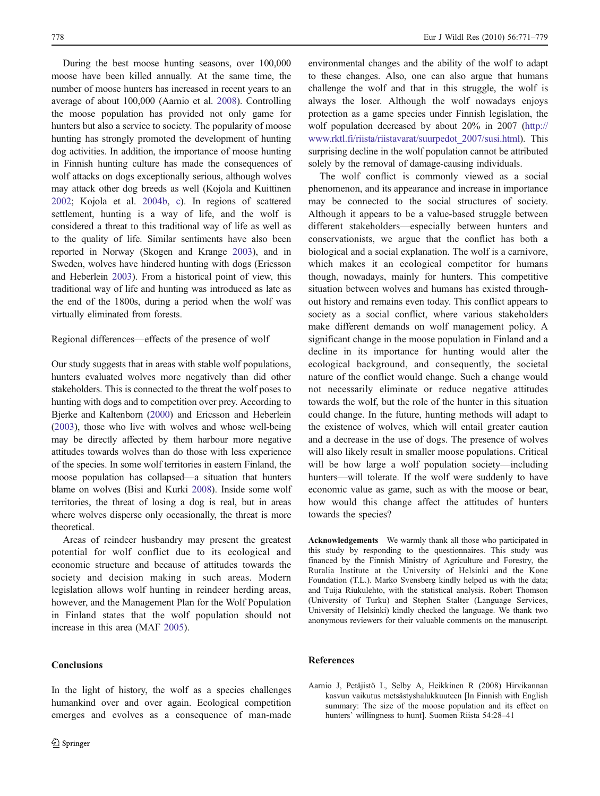During the best moose hunting seasons, over 100,000 moose have been killed annually. At the same time, the number of moose hunters has increased in recent years to an average of about 100,000 (Aarnio et al. 2008). Controlling the moose population has provided not only game for hunters but also a service to society. The popularity of moose hunting has strongly promoted the development of hunting dog activities. In addition, the importance of moose hunting in Finnish hunting culture has made the consequences of wolf attacks on dogs exceptionally serious, although wolves may attack other dog breeds as well (Kojola and Kuittinen 2002; Kojola et al. 2004b, c). In regions of scattered settlement, hunting is a way of life, and the wolf is considered a threat to this traditional way of life as well as to the quality of life. Similar sentiments have also been reported in Norway (Skogen and Krange 2003), and in Sweden, wolves have hindered hunting with dogs (Ericsson and Heberlein 2003). From a historical point of view, this traditional way of life and hunting was introduced as late as the end of the 1800s, during a period when the wolf was virtually eliminated from forests.

#### Regional differences—effects of the presence of wolf

Our study suggests that in areas with stable wolf populations, hunters evaluated wolves more negatively than did other stakeholders. This is connected to the threat the wolf poses to hunting with dogs and to competition over prey. According to Bjerke and Kaltenborn (2000) and Ericsson and Heberlein (2003), those who live with wolves and whose well-being may be directly affected by them harbour more negative attitudes towards wolves than do those with less experience of the species. In some wolf territories in eastern Finland, the moose population has collapsed—a situation that hunters blame on wolves (Bisi and Kurki 2008). Inside some wolf territories, the threat of losing a dog is real, but in areas where wolves disperse only occasionally, the threat is more theoretical.

Areas of reindeer husbandry may present the greatest potential for wolf conflict due to its ecological and economic structure and because of attitudes towards the society and decision making in such areas. Modern legislation allows wolf hunting in reindeer herding areas, however, and the Management Plan for the Wolf Population in Finland states that the wolf population should not increase in this area (MAF 2005).

In the light of history, the wolf as a species challenges humankind over and over again. Ecological competition emerges and evolves as a consequence of man-made

### **Conclusions**

environmental changes and the ability of the wolf to adapt to these changes. Also, one can also argue that humans challenge the wolf and that in this struggle, the wolf is always the loser. Although the wolf nowadays enjoys protection as a game species under Finnish legislation, the wolf population decreased by about 20% in 2007 [\(http://](http://www.rktl.fi/riista/riistavarat/suurpedot_2007/susi.html) [www.rktl.fi/riista/riistavarat/suurpedot\\_2007/susi.html](http://www.rktl.fi/riista/riistavarat/suurpedot_2007/susi.html)). This surprising decline in the wolf population cannot be attributed solely by the removal of damage-causing individuals.

The wolf conflict is commonly viewed as a social phenomenon, and its appearance and increase in importance may be connected to the social structures of society. Although it appears to be a value-based struggle between different stakeholders—especially between hunters and conservationists, we argue that the conflict has both a biological and a social explanation. The wolf is a carnivore, which makes it an ecological competitor for humans though, nowadays, mainly for hunters. This competitive situation between wolves and humans has existed throughout history and remains even today. This conflict appears to society as a social conflict, where various stakeholders make different demands on wolf management policy. A significant change in the moose population in Finland and a decline in its importance for hunting would alter the ecological background, and consequently, the societal nature of the conflict would change. Such a change would not necessarily eliminate or reduce negative attitudes towards the wolf, but the role of the hunter in this situation could change. In the future, hunting methods will adapt to the existence of wolves, which will entail greater caution and a decrease in the use of dogs. The presence of wolves will also likely result in smaller moose populations. Critical will be how large a wolf population society—including hunters—will tolerate. If the wolf were suddenly to have economic value as game, such as with the moose or bear, how would this change affect the attitudes of hunters towards the species?

Acknowledgements We warmly thank all those who participated in this study by responding to the questionnaires. This study was financed by the Finnish Ministry of Agriculture and Forestry, the Ruralia Institute at the University of Helsinki and the Kone Foundation (T.L.). Marko Svensberg kindly helped us with the data; and Tuija Riukulehto, with the statistical analysis. Robert Thomson (University of Turku) and Stephen Stalter (Language Services, University of Helsinki) kindly checked the language. We thank two anonymous reviewers for their valuable comments on the manuscript.

#### References

Aarnio J, Petäjistö L, Selby A, Heikkinen R (2008) Hirvikannan kasvun vaikutus metsästyshalukkuuteen [In Finnish with English summary: The size of the moose population and its effect on hunters' willingness to hunt]. Suomen Riista 54:28–41